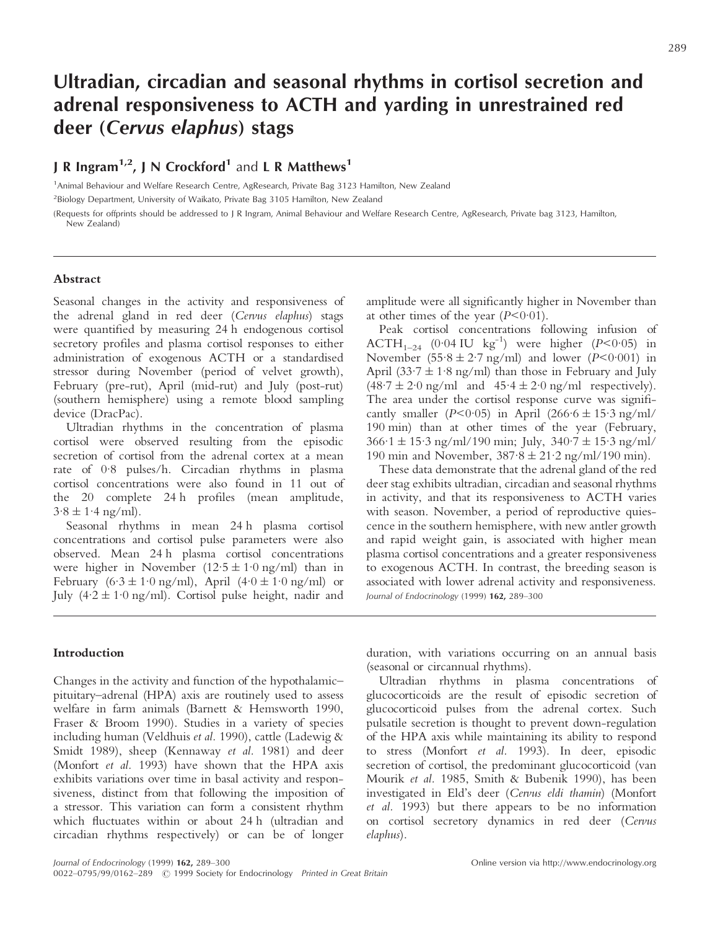# **Ultradian, circadian and seasonal rhythms in cortisol secretion and adrenal responsiveness to ACTH and yarding in unrestrained red deer (***Cervus elaphus***) stags**

# **J R Ingram<sup>1,2</sup>, J N Crockford<sup>1</sup> and L R Matthews<sup>1</sup>**

1 Animal Behaviour and Welfare Research Centre, AgResearch, Private Bag 3123 Hamilton, New Zealand <sup>2</sup>Biology Department, University of Waikato, Private Bag 3105 Hamilton, New Zealand

(Requests for offprints should be addressed to J R Ingram, Animal Behaviour and Welfare Research Centre, AgResearch, Private bag 3123, Hamilton, New Zealand)

# **Abstract**

Seasonal changes in the activity and responsiveness of the adrenal gland in red deer (*Cervus elaphus*) stags were quantified by measuring 24 h endogenous cortisol secretory profiles and plasma cortisol responses to either administration of exogenous ACTH or a standardised stressor during November (period of velvet growth), February (pre-rut), April (mid-rut) and July (post-rut) (southern hemisphere) using a remote blood sampling device (DracPac).

Ultradian rhythms in the concentration of plasma cortisol were observed resulting from the episodic secretion of cortisol from the adrenal cortex at a mean rate of 0·8 pulses/h. Circadian rhythms in plasma cortisol concentrations were also found in 11 out of the 20 complete 24 h profiles (mean amplitude,  $3.8 \pm 1.4$  ng/ml).

Seasonal rhythms in mean 24 h plasma cortisol concentrations and cortisol pulse parameters were also observed. Mean 24 h plasma cortisol concentrations were higher in November  $(12.5 \pm 1.0 \text{ ng/ml})$  than in February  $(6.3 \pm 1.0 \text{ ng/ml})$ , April  $(4.0 \pm 1.0 \text{ ng/ml})$  or July  $(4.2 \pm 1.0 \text{ ng/ml})$ . Cortisol pulse height, nadir and amplitude were all significantly higher in November than at other times of the year  $(P < 0.01)$ .

Peak cortisol concentrations following infusion of  $ACTH<sub>1–24</sub>$  (0.04 IU kg<sup>-1</sup>) were higher (*P*<0.05) in November  $(55.8 \pm 2.7 \text{ ng/ml})$  and lower  $(P<0.001)$  in April (33 $\cdot$ 7  $\pm$  1 $\cdot$ 8 ng/ml) than those in February and July  $(48.7 \pm 2.0 \text{ ng/ml}$  and  $45.4 \pm 2.0 \text{ ng/ml}$  respectively). The area under the cortisol response curve was significantly smaller  $(P<0.05)$  in April  $(266.6 \pm 15.3 \text{ ng/ml}/$ 190 min) than at other times of the year (February,  $366.1 \pm 15.3$  ng/ml/190 min; July,  $340.7 \pm 15.3$  ng/ml/ 190 min and November,  $387.8 \pm 21.2$  ng/ml/190 min).

These data demonstrate that the adrenal gland of the red deer stag exhibits ultradian, circadian and seasonal rhythms in activity, and that its responsiveness to ACTH varies with season. November, a period of reproductive quiescence in the southern hemisphere, with new antler growth and rapid weight gain, is associated with higher mean plasma cortisol concentrations and a greater responsiveness to exogenous ACTH. In contrast, the breeding season is associated with lower adrenal activity and responsiveness. *Journal of Endocrinology* (1999) **162,** 289–300

# **Introduction**

Changes in the activity and function of the hypothalamic– pituitary–adrenal (HPA) axis are routinely used to assess welfare in farm animals (Barnett & Hemsworth 1990, Fraser & Broom 1990). Studies in a variety of species including human (Veldhuis *et al.* 1990), cattle (Ladewig & Smidt 1989), sheep (Kennaway *et al.* 1981) and deer (Monfort *et al.* 1993) have shown that the HPA axis exhibits variations over time in basal activity and responsiveness, distinct from that following the imposition of a stressor. This variation can form a consistent rhythm which fluctuates within or about 24 h (ultradian and circadian rhythms respectively) or can be of longer

duration, with variations occurring on an annual basis (seasonal or circannual rhythms).

Ultradian rhythms in plasma concentrations of glucocorticoids are the result of episodic secretion of glucocorticoid pulses from the adrenal cortex. Such pulsatile secretion is thought to prevent down-regulation of the HPA axis while maintaining its ability to respond to stress (Monfort *et al.* 1993). In deer, episodic secretion of cortisol, the predominant glucocorticoid (van Mourik *et al.* 1985, Smith & Bubenik 1990), has been investigated in Eld's deer (*Cervus eldi thamin*) (Monfort *et al.* 1993) but there appears to be no information on cortisol secretory dynamics in red deer (*Cervus elaphus*).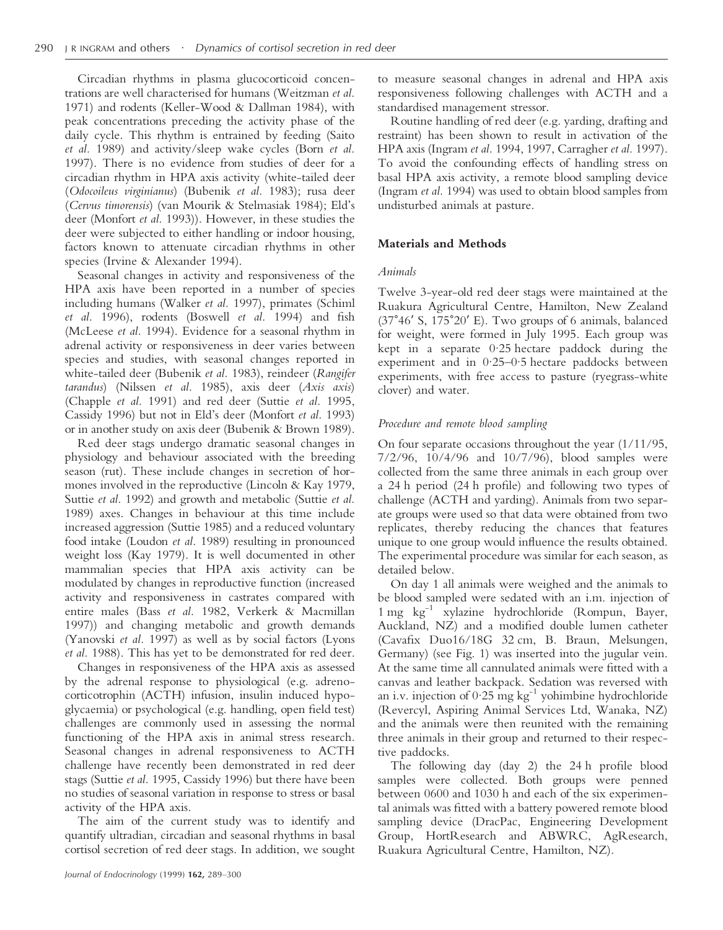Circadian rhythms in plasma glucocorticoid concentrations are well characterised for humans (Weitzman *et al.* 1971) and rodents (Keller-Wood & Dallman 1984), with peak concentrations preceding the activity phase of the daily cycle. This rhythm is entrained by feeding (Saito *et al.* 1989) and activity/sleep wake cycles (Born *et al.* 1997). There is no evidence from studies of deer for a circadian rhythm in HPA axis activity (white-tailed deer (*Odocoileus virginianus*) (Bubenik *et al.* 1983); rusa deer (*Cervus timorensis*) (van Mourik & Stelmasiak 1984); Eld's deer (Monfort *et al.* 1993)). However, in these studies the deer were subjected to either handling or indoor housing, factors known to attenuate circadian rhythms in other species (Irvine & Alexander 1994).

Seasonal changes in activity and responsiveness of the HPA axis have been reported in a number of species including humans (Walker *et al.* 1997), primates (Schiml *et al.* 1996), rodents (Boswell *et al.* 1994) and fish (McLeese *et al.* 1994). Evidence for a seasonal rhythm in adrenal activity or responsiveness in deer varies between species and studies, with seasonal changes reported in white-tailed deer (Bubenik *et al.* 1983), reindeer (*Rangifer tarandus*) (Nilssen *et al.* 1985), axis deer (*Axis axis*) (Chapple *et al.* 1991) and red deer (Suttie *et al.* 1995, Cassidy 1996) but not in Eld's deer (Monfort *et al.* 1993) or in another study on axis deer (Bubenik & Brown 1989).

Red deer stags undergo dramatic seasonal changes in physiology and behaviour associated with the breeding season (rut). These include changes in secretion of hormones involved in the reproductive (Lincoln & Kay 1979, Suttie *et al.* 1992) and growth and metabolic (Suttie *et al.* 1989) axes. Changes in behaviour at this time include increased aggression (Suttie 1985) and a reduced voluntary food intake (Loudon *et al.* 1989) resulting in pronounced weight loss (Kay 1979). It is well documented in other mammalian species that HPA axis activity can be modulated by changes in reproductive function (increased activity and responsiveness in castrates compared with entire males (Bass *et al.* 1982, Verkerk & Macmillan 1997)) and changing metabolic and growth demands (Yanovski *et al.* 1997) as well as by social factors (Lyons *et al.* 1988). This has yet to be demonstrated for red deer.

Changes in responsiveness of the HPA axis as assessed by the adrenal response to physiological (e.g. adrenocorticotrophin (ACTH) infusion, insulin induced hypoglycaemia) or psychological (e.g. handling, open field test) challenges are commonly used in assessing the normal functioning of the HPA axis in animal stress research. Seasonal changes in adrenal responsiveness to ACTH challenge have recently been demonstrated in red deer stags (Suttie *et al.* 1995, Cassidy 1996) but there have been no studies of seasonal variation in response to stress or basal activity of the HPA axis.

The aim of the current study was to identify and quantify ultradian, circadian and seasonal rhythms in basal cortisol secretion of red deer stags. In addition, we sought

to measure seasonal changes in adrenal and HPA axis responsiveness following challenges with ACTH and a standardised management stressor.

Routine handling of red deer (e.g. yarding, drafting and restraint) has been shown to result in activation of the HPA axis (Ingram *et al.* 1994, 1997, Carragher *et al.* 1997). To avoid the confounding effects of handling stress on basal HPA axis activity, a remote blood sampling device (Ingram *et al.* 1994) was used to obtain blood samples from undisturbed animals at pasture.

# **Materials and Methods**

#### *Animals*

Twelve 3-year-old red deer stags were maintained at the Ruakura Agricultural Centre, Hamilton, New Zealand  $(37°46'$  S,  $175°20'$  E). Two groups of 6 animals, balanced for weight, were formed in July 1995. Each group was kept in a separate 0·25 hectare paddock during the experiment and in 0·25–0·5 hectare paddocks between experiments, with free access to pasture (ryegrass-white clover) and water.

# *Procedure and remote blood sampling*

On four separate occasions throughout the year (1/11/95, 7/2/96, 10/4/96 and 10/7/96), blood samples were collected from the same three animals in each group over a 24 h period (24 h profile) and following two types of challenge (ACTH and yarding). Animals from two separate groups were used so that data were obtained from two replicates, thereby reducing the chances that features unique to one group would influence the results obtained. The experimental procedure was similar for each season, as detailed below.

On day 1 all animals were weighed and the animals to be blood sampled were sedated with an i.m. injection of 1 mg kg-1 xylazine hydrochloride (Rompun, Bayer, Auckland, NZ) and a modified double lumen catheter (Cavafix Duo16/18G 32 cm, B. Braun, Melsungen, Germany) (see Fig. 1) was inserted into the jugular vein. At the same time all cannulated animals were fitted with a canvas and leather backpack. Sedation was reversed with an i.v. injection of  $0.25$  mg kg<sup>-1</sup> yohimbine hydrochloride (Revercyl, Aspiring Animal Services Ltd, Wanaka, NZ) and the animals were then reunited with the remaining three animals in their group and returned to their respective paddocks.

The following day (day 2) the 24 h profile blood samples were collected. Both groups were penned between 0600 and 1030 h and each of the six experimental animals was fitted with a battery powered remote blood sampling device (DracPac, Engineering Development Group, HortResearch and ABWRC, AgResearch, Ruakura Agricultural Centre, Hamilton, NZ).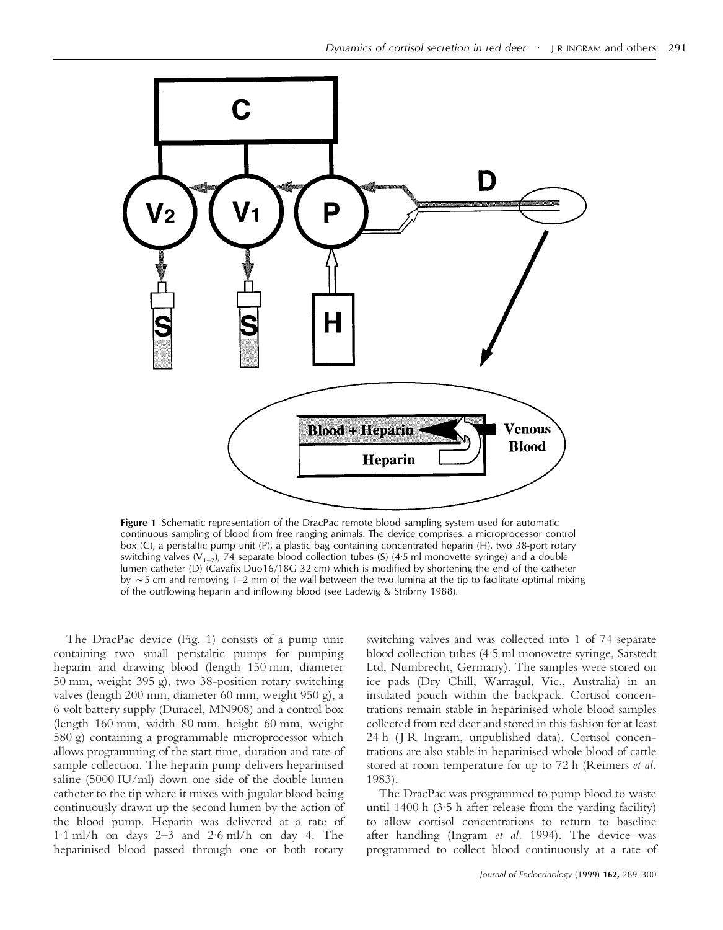

**Figure 1** Schematic representation of the DracPac remote blood sampling system used for automatic continuous sampling of blood from free ranging animals. The device comprises: a microprocessor control box (C), a peristaltic pump unit (P), a plastic bag containing concentrated heparin (H), two 38-port rotary switching valves  $(V_{1-2})$ , 74 separate blood collection tubes (S) (4.5 ml monovette syringe) and a double lumen catheter (D) (Cavafix Duo16/18G 32 cm) which is modified by shortening the end of the catheter by  $\sim$  5 cm and removing 1–2 mm of the wall between the two lumina at the tip to facilitate optimal mixing of the outflowing heparin and inflowing blood (see Ladewig & Stribrny 1988).

The DracPac device (Fig. 1) consists of a pump unit containing two small peristaltic pumps for pumping heparin and drawing blood (length 150 mm, diameter 50 mm, weight 395 g), two 38-position rotary switching valves (length 200 mm, diameter 60 mm, weight 950 g), a 6 volt battery supply (Duracel, MN908) and a control box (length 160 mm, width 80 mm, height 60 mm, weight 580 g) containing a programmable microprocessor which allows programming of the start time, duration and rate of sample collection. The heparin pump delivers heparinised saline (5000 IU/ml) down one side of the double lumen catheter to the tip where it mixes with jugular blood being continuously drawn up the second lumen by the action of the blood pump. Heparin was delivered at a rate of 1·1 ml/h on days 2–3 and 2·6 ml/h on day 4. The heparinised blood passed through one or both rotary

switching valves and was collected into 1 of 74 separate blood collection tubes (4·5 ml monovette syringe, Sarstedt Ltd, Numbrecht, Germany). The samples were stored on ice pads (Dry Chill, Warragul, Vic., Australia) in an insulated pouch within the backpack. Cortisol concentrations remain stable in heparinised whole blood samples collected from red deer and stored in this fashion for at least 24 h (J R Ingram, unpublished data). Cortisol concentrations are also stable in heparinised whole blood of cattle stored at room temperature for up to 72 h (Reimers *et al.* 1983).

The DracPac was programmed to pump blood to waste until 1400 h (3·5 h after release from the yarding facility) to allow cortisol concentrations to return to baseline after handling (Ingram *et al.* 1994). The device was programmed to collect blood continuously at a rate of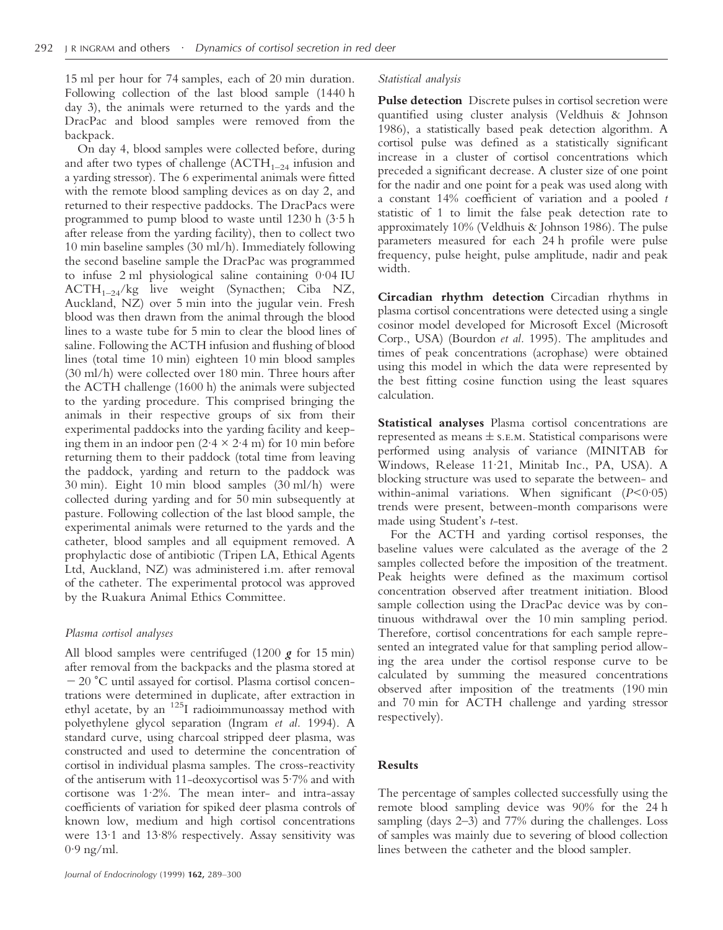15 ml per hour for 74 samples, each of 20 min duration. Following collection of the last blood sample (1440 h day 3), the animals were returned to the yards and the DracPac and blood samples were removed from the backpack.

On day 4, blood samples were collected before, during and after two types of challenge  $(ACTH<sub>1–24</sub>$  infusion and a yarding stressor). The 6 experimental animals were fitted with the remote blood sampling devices as on day 2, and returned to their respective paddocks. The DracPacs were programmed to pump blood to waste until 1230 h (3·5 h after release from the yarding facility), then to collect two 10 min baseline samples (30 ml/h). Immediately following the second baseline sample the DracPac was programmed to infuse 2 ml physiological saline containing 0·04 IU  $ACTH_{1-24}/kg$  live weight (Synacthen; Ciba NZ, Auckland, NZ) over 5 min into the jugular vein. Fresh blood was then drawn from the animal through the blood lines to a waste tube for 5 min to clear the blood lines of saline. Following the ACTH infusion and flushing of blood lines (total time 10 min) eighteen 10 min blood samples (30 ml/h) were collected over 180 min. Three hours after the ACTH challenge (1600 h) the animals were subjected to the yarding procedure. This comprised bringing the animals in their respective groups of six from their experimental paddocks into the yarding facility and keeping them in an indoor pen  $(2.4 \times 2.4 \text{ m})$  for 10 min before returning them to their paddock (total time from leaving the paddock, yarding and return to the paddock was 30 min). Eight 10 min blood samples (30 ml/h) were collected during yarding and for 50 min subsequently at pasture. Following collection of the last blood sample, the experimental animals were returned to the yards and the catheter, blood samples and all equipment removed. A prophylactic dose of antibiotic (Tripen LA, Ethical Agents Ltd, Auckland, NZ) was administered i.m. after removal of the catheter. The experimental protocol was approved by the Ruakura Animal Ethics Committee.

# *Plasma cortisol analyses*

All blood samples were centrifuged (1200 *g* for 15 min) after removal from the backpacks and the plasma stored at  $-20$  °C until assayed for cortisol. Plasma cortisol concentrations were determined in duplicate, after extraction in ethyl acetate, by an <sup>125</sup>I radioimmunoassay method with polyethylene glycol separation (Ingram *et al.* 1994). A standard curve, using charcoal stripped deer plasma, was constructed and used to determine the concentration of cortisol in individual plasma samples. The cross-reactivity of the antiserum with 11-deoxycortisol was 5·7% and with cortisone was 1·2%. The mean inter- and intra-assay coefficients of variation for spiked deer plasma controls of known low, medium and high cortisol concentrations were 13·1 and 13·8% respectively. Assay sensitivity was  $0.9$  ng/ml.

#### *Statistical analysis*

**Pulse detection** Discrete pulses in cortisol secretion were quantified using cluster analysis (Veldhuis & Johnson 1986), a statistically based peak detection algorithm. A cortisol pulse was defined as a statistically significant increase in a cluster of cortisol concentrations which preceded a significant decrease. A cluster size of one point for the nadir and one point for a peak was used along with a constant 14% coefficient of variation and a pooled *t* statistic of 1 to limit the false peak detection rate to approximately 10% (Veldhuis & Johnson 1986). The pulse parameters measured for each 24 h profile were pulse frequency, pulse height, pulse amplitude, nadir and peak width.

**Circadian rhythm detection** Circadian rhythms in plasma cortisol concentrations were detected using a single cosinor model developed for Microsoft Excel (Microsoft Corp., USA) (Bourdon *et al.* 1995). The amplitudes and times of peak concentrations (acrophase) were obtained using this model in which the data were represented by the best fitting cosine function using the least squares calculation.

**Statistical analyses** Plasma cortisol concentrations are represented as means  $\pm$  s.e.m. Statistical comparisons were performed using analysis of variance (MINITAB for Windows, Release 11·21, Minitab Inc., PA, USA). A blocking structure was used to separate the between- and within-animal variations. When significant (*P*<0·05) trends were present, between-month comparisons were made using Student's *t*-test.

For the ACTH and yarding cortisol responses, the baseline values were calculated as the average of the 2 samples collected before the imposition of the treatment. Peak heights were defined as the maximum cortisol concentration observed after treatment initiation. Blood sample collection using the DracPac device was by continuous withdrawal over the 10 min sampling period. Therefore, cortisol concentrations for each sample represented an integrated value for that sampling period allowing the area under the cortisol response curve to be calculated by summing the measured concentrations observed after imposition of the treatments (190 min and 70 min for ACTH challenge and yarding stressor respectively).

# **Results**

The percentage of samples collected successfully using the remote blood sampling device was 90% for the 24 h sampling (days 2–3) and 77% during the challenges. Loss of samples was mainly due to severing of blood collection lines between the catheter and the blood sampler.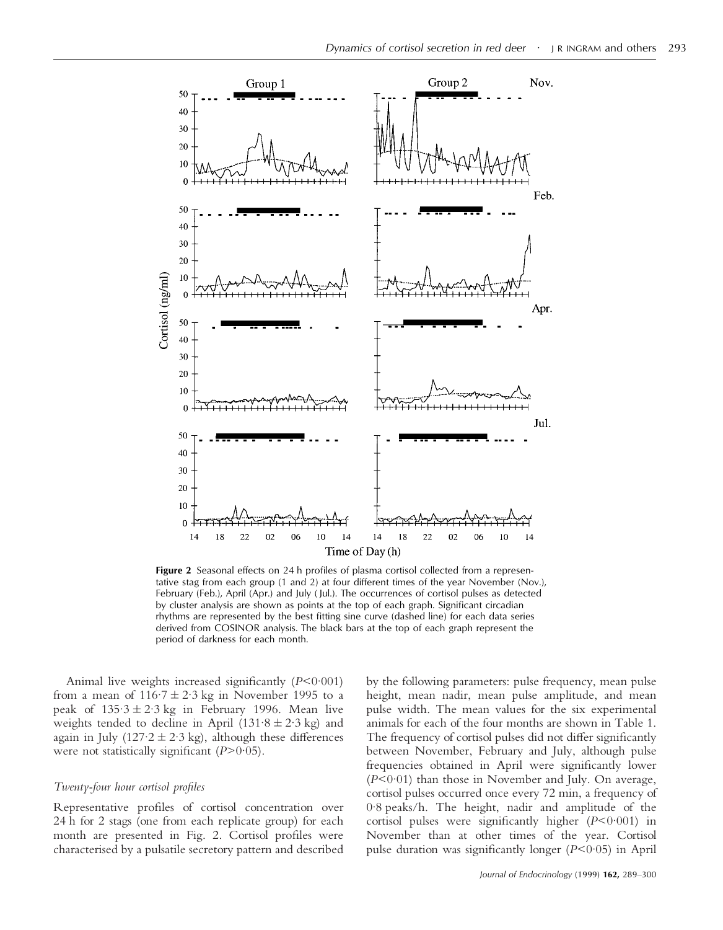

**Figure 2** Seasonal effects on 24 h profiles of plasma cortisol collected from a representative stag from each group (1 and 2) at four different times of the year November (Nov.), February (Feb.), April (Apr.) and July ( Jul.). The occurrences of cortisol pulses as detected by cluster analysis are shown as points at the top of each graph. Significant circadian rhythms are represented by the best fitting sine curve (dashed line) for each data series derived from COSINOR analysis. The black bars at the top of each graph represent the period of darkness for each month.

Animal live weights increased significantly (*P*<0·001) from a mean of  $116.7 \pm 2.3$  kg in November 1995 to a peak of  $135.3 \pm 2.3$  kg in February 1996. Mean live weights tended to decline in April (131.8  $\pm$  2.3 kg) and again in July (127 $\cdot$ 2  $\pm$  2 $\cdot$ 3 kg), although these differences were not statistically significant (*P*>0·05).

#### *Twenty-four hour cortisol profiles*

Representative profiles of cortisol concentration over 24 h for 2 stags (one from each replicate group) for each month are presented in Fig. 2. Cortisol profiles were characterised by a pulsatile secretory pattern and described by the following parameters: pulse frequency, mean pulse height, mean nadir, mean pulse amplitude, and mean pulse width. The mean values for the six experimental animals for each of the four months are shown in Table 1. The frequency of cortisol pulses did not differ significantly between November, February and July, although pulse frequencies obtained in April were significantly lower (*P*<0·01) than those in November and July. On average, cortisol pulses occurred once every 72 min, a frequency of 0·8 peaks/h. The height, nadir and amplitude of the cortisol pulses were significantly higher (*P*<0·001) in November than at other times of the year. Cortisol pulse duration was significantly longer (*P*<0·05) in April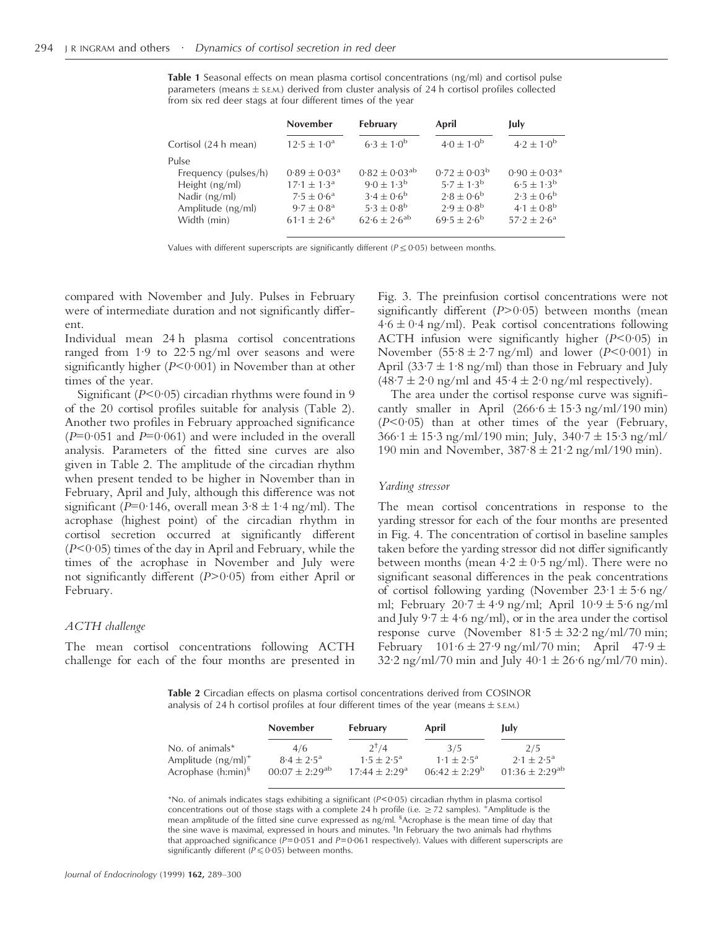**Table 1** Seasonal effects on mean plasma cortisol concentrations (ng/ml) and cortisol pulse parameters (means  $\pm$  s.E.M.) derived from cluster analysis of 24 h cortisol profiles collected from six red deer stags at four different times of the year

|                                                                                                      | <b>November</b>                                                                                                   | February                                                                                                   | April                                                                                                      | July                                                                                                                |
|------------------------------------------------------------------------------------------------------|-------------------------------------------------------------------------------------------------------------------|------------------------------------------------------------------------------------------------------------|------------------------------------------------------------------------------------------------------------|---------------------------------------------------------------------------------------------------------------------|
| Cortisol (24 h mean)                                                                                 | $12.5 \pm 1.0^a$                                                                                                  | $6.3 \pm 1.0^{b}$                                                                                          | $4.0 \pm 1.0^{b}$                                                                                          | $4.2 \pm 1.0^{b}$                                                                                                   |
| Pulse<br>Frequency (pulses/h)<br>Height (ng/ml)<br>Nadir (ng/ml)<br>Amplitude (ng/ml)<br>Width (min) | $0.89 \pm 0.03^a$<br>$17.1 \pm 1.3^{\circ}$<br>$7.5 \pm 0.6^{\circ}$<br>$9.7 \pm 0.8^{\rm a}$<br>$61.1 \pm 2.6^a$ | $0.82 \pm 0.03^{ab}$<br>$9.0 \pm 1.3^{b}$<br>$3.4 \pm 0.6^{b}$<br>$5.3 \pm 0.8^{b}$<br>$62.6 \pm 2.6^{ab}$ | $0.72 \pm 0.03^{\rm b}$<br>$5.7 \pm 1.3^{b}$<br>$2.8 \pm 0.6^{b}$<br>$2.9 \pm 0.8^{b}$<br>$69.5 \pm 2.6^b$ | $0.90 \pm 0.03^{\text{a}}$<br>$6.5 \pm 1.3^{b}$<br>$2.3 \pm 0.6^{b}$<br>$4.1 \pm 0.8^{b}$<br>$57.2 \pm 2.6^{\circ}$ |

Values with different superscripts are significantly different ( $P \le 0.05$ ) between months.

compared with November and July. Pulses in February were of intermediate duration and not significantly different.

Individual mean 24 h plasma cortisol concentrations ranged from 1·9 to 22·5 ng/ml over seasons and were significantly higher (*P*<0·001) in November than at other times of the year.

Significant (*P*<0.05) circadian rhythms were found in 9 of the 20 cortisol profiles suitable for analysis (Table 2). Another two profiles in February approached significance  $(P=0.051$  and  $P=0.061$ ) and were included in the overall analysis. Parameters of the fitted sine curves are also given in Table 2. The amplitude of the circadian rhythm when present tended to be higher in November than in February, April and July, although this difference was not significant ( $P=0.146$ , overall mean  $3.8 \pm 1.4$  ng/ml). The acrophase (highest point) of the circadian rhythm in cortisol secretion occurred at significantly different (*P*<0·05) times of the day in April and February, while the times of the acrophase in November and July were not significantly different (*P*>0·05) from either April or February.

#### *ACTH challenge*

The mean cortisol concentrations following ACTH challenge for each of the four months are presented in Fig. 3. The preinfusion cortisol concentrations were not significantly different (*P*>0·05) between months (mean  $4.6 \pm 0.4$  ng/ml). Peak cortisol concentrations following ACTH infusion were significantly higher (*P*<0·05) in November  $(55.8 \pm 2.7 \text{ ng/ml})$  and lower  $(P<0.001)$  in April (33 $\cdot$ 7  $\pm$  1 $\cdot$ 8 ng/ml) than those in February and July  $(48.7 \pm 2.0 \text{ ng/ml}$  and  $45.4 \pm 2.0 \text{ ng/ml}$  respectively).

The area under the cortisol response curve was significantly smaller in April  $(266.6 \pm 15.3 \text{ ng/ml}/190 \text{ min})$ (*P*<0·05) than at other times of the year (February,  $366.1 \pm 15.3$  ng/ml/190 min; July,  $340.7 \pm 15.3$  ng/ml/ 190 min and November,  $387.8 \pm 21.2$  ng/ml/190 min).

#### *Yarding stressor*

The mean cortisol concentrations in response to the yarding stressor for each of the four months are presented in Fig. 4. The concentration of cortisol in baseline samples taken before the yarding stressor did not differ significantly between months (mean  $4.2 \pm 0.5$  ng/ml). There were no significant seasonal differences in the peak concentrations of cortisol following yarding (November  $23.1 \pm 5.6$  ng/ ml; February  $20.7 \pm 4.9$  ng/ml; April  $10.9 \pm 5.6$  ng/ml and July 9.7  $\pm$  4.6 ng/ml), or in the area under the cortisol response curve (November  $81.5 \pm 32.2$  ng/ml/70 min; February  $101.6 \pm 27.9$  ng/ml/70 min; April  $47.9 \pm$  $32.2 \text{ ng/ml} / 70 \text{ min}$  and July  $40.1 \pm 26.6 \text{ ng/ml} / 70 \text{ min}$ .

**Table 2** Circadian effects on plasma cortisol concentrations derived from COSINOR analysis of 24 h cortisol profiles at four different times of the year (means  $\pm$  s.E.M.)

|                         | <b>November</b>       | <b>February</b>             | April                     | July                  |
|-------------------------|-----------------------|-----------------------------|---------------------------|-----------------------|
| No. of animals $*$      | 4/6                   | $2^{t}/4$                   | 3/5                       | 2/5                   |
| Amplitude $(ng/ml)^+$   | $8.4 \pm 2.5^{\circ}$ | $1.5 \pm 2.5^{\circ}$       | $1 \cdot 1 + 2 \cdot 5^a$ | $2.1 \pm 2.5^{\circ}$ |
| Acrophase $(h:min)^{5}$ | $00:07 \pm 2:29^{ab}$ | $17.44 + 2.29$ <sup>a</sup> | $06:42 \pm 2:29^b$        | $01:36 \pm 2:29^{ab}$ |

\*No. of animals indicates stags exhibiting a significant (*P*<0·05) circadian rhythm in plasma cortisol concentrations out of those stags with a complete 24 h profile (i.e.  $\geq$  72 samples). <sup>+</sup>Amplitude is the mean amplitude of the fitted sine curve expressed as ng/ml. <sup>§</sup>Acrophase is the mean time of day that the sine wave is maximal, expressed in hours and minutes. † In February the two animals had rhythms that approached significance ( $P=0.051$  and  $P=0.061$  respectively). Values with different superscripts are significantly different ( $P \le 0.05$ ) between months.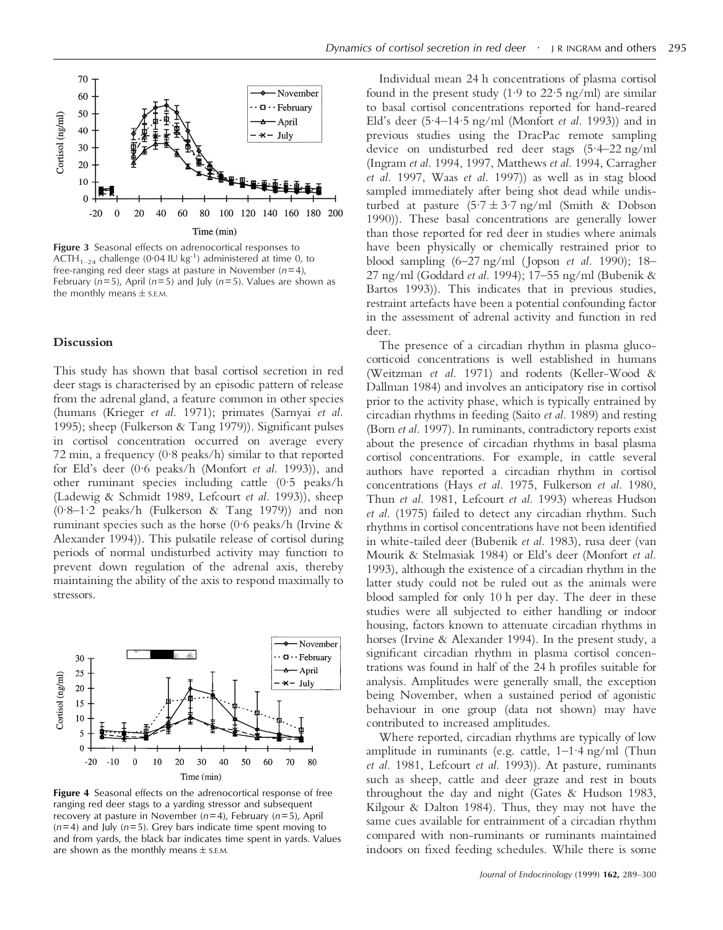

**Figure 3** Seasonal effects on adrenocortical responses to ACTH<sub>1–24</sub> challenge (0·04 IU kg<sup>-1</sup>) administered at time 0, to free-ranging red deer stags at pasture in November (*n*=4), February (*n*=5), April (*n*=5) and July (*n*=5). Values are shown as the monthly means  $\pm$  s.E.M.

#### **Discussion**

This study has shown that basal cortisol secretion in red deer stags is characterised by an episodic pattern of release from the adrenal gland, a feature common in other species (humans (Krieger *et al.* 1971); primates (Sarnyai *et al.* 1995); sheep (Fulkerson & Tang 1979)). Significant pulses in cortisol concentration occurred on average every 72 min, a frequency (0·8 peaks/h) similar to that reported for Eld's deer (0·6 peaks/h (Monfort *et al.* 1993)), and other ruminant species including cattle (0·5 peaks/h (Ladewig & Schmidt 1989, Lefcourt *et al.* 1993)), sheep  $(0.8-1.2 \text{ peaks/h}$  (Fulkerson & Tang 1979)) and non ruminant species such as the horse (0·6 peaks/h (Irvine & Alexander 1994)). This pulsatile release of cortisol during periods of normal undisturbed activity may function to prevent down regulation of the adrenal axis, thereby maintaining the ability of the axis to respond maximally to stressors.



**Figure 4** Seasonal effects on the adrenocortical response of free ranging red deer stags to a yarding stressor and subsequent recovery at pasture in November (*n*=4), February (*n*=5), April (*n*=4) and July (*n*=5). Grey bars indicate time spent moving to and from yards, the black bar indicates time spent in yards. Values are shown as the monthly means  $\pm$  s.E.M.

Individual mean 24 h concentrations of plasma cortisol found in the present study  $(1.9 \text{ to } 22.5 \text{ ng/ml})$  are similar to basal cortisol concentrations reported for hand-reared Eld's deer (5·4–14·5 ng/ml (Monfort *et al.* 1993)) and in previous studies using the DracPac remote sampling device on undisturbed red deer stags (5·4–22 ng/ml (Ingram *et al.* 1994, 1997, Matthews *et al.* 1994, Carragher *et al.* 1997, Waas *et al.* 1997)) as well as in stag blood sampled immediately after being shot dead while undisturbed at pasture  $(5.7 \pm 3.7 \text{ ng/ml }$  (Smith & Dobson 1990)). These basal concentrations are generally lower than those reported for red deer in studies where animals have been physically or chemically restrained prior to blood sampling (6–27 ng/ml ( Jopson *et al.* 1990); 18– 27 ng/ml (Goddard *et al.* 1994); 17–55 ng/ml (Bubenik & Bartos 1993)). This indicates that in previous studies, restraint artefacts have been a potential confounding factor in the assessment of adrenal activity and function in red deer.

The presence of a circadian rhythm in plasma glucocorticoid concentrations is well established in humans (Weitzman *et al.* 1971) and rodents (Keller-Wood & Dallman 1984) and involves an anticipatory rise in cortisol prior to the activity phase, which is typically entrained by circadian rhythms in feeding (Saito *et al.* 1989) and resting (Born *et al.* 1997). In ruminants, contradictory reports exist about the presence of circadian rhythms in basal plasma cortisol concentrations. For example, in cattle several authors have reported a circadian rhythm in cortisol concentrations (Hays *et al.* 1975, Fulkerson *et al.* 1980, Thun *et al.* 1981, Lefcourt *et al.* 1993) whereas Hudson *et al.* (1975) failed to detect any circadian rhythm. Such rhythms in cortisol concentrations have not been identified in white-tailed deer (Bubenik *et al.* 1983), rusa deer (van Mourik & Stelmasiak 1984) or Eld's deer (Monfort *et al.* 1993), although the existence of a circadian rhythm in the latter study could not be ruled out as the animals were blood sampled for only 10 h per day. The deer in these studies were all subjected to either handling or indoor housing, factors known to attenuate circadian rhythms in horses (Irvine & Alexander 1994). In the present study, a significant circadian rhythm in plasma cortisol concentrations was found in half of the 24 h profiles suitable for analysis. Amplitudes were generally small, the exception being November, when a sustained period of agonistic behaviour in one group (data not shown) may have contributed to increased amplitudes.

Where reported, circadian rhythms are typically of low amplitude in ruminants (e.g. cattle, 1–1·4 ng/ml (Thun *et al.* 1981, Lefcourt *et al.* 1993)). At pasture, ruminants such as sheep, cattle and deer graze and rest in bouts throughout the day and night (Gates & Hudson 1983, Kilgour & Dalton 1984). Thus, they may not have the same cues available for entrainment of a circadian rhythm compared with non-ruminants or ruminants maintained indoors on fixed feeding schedules. While there is some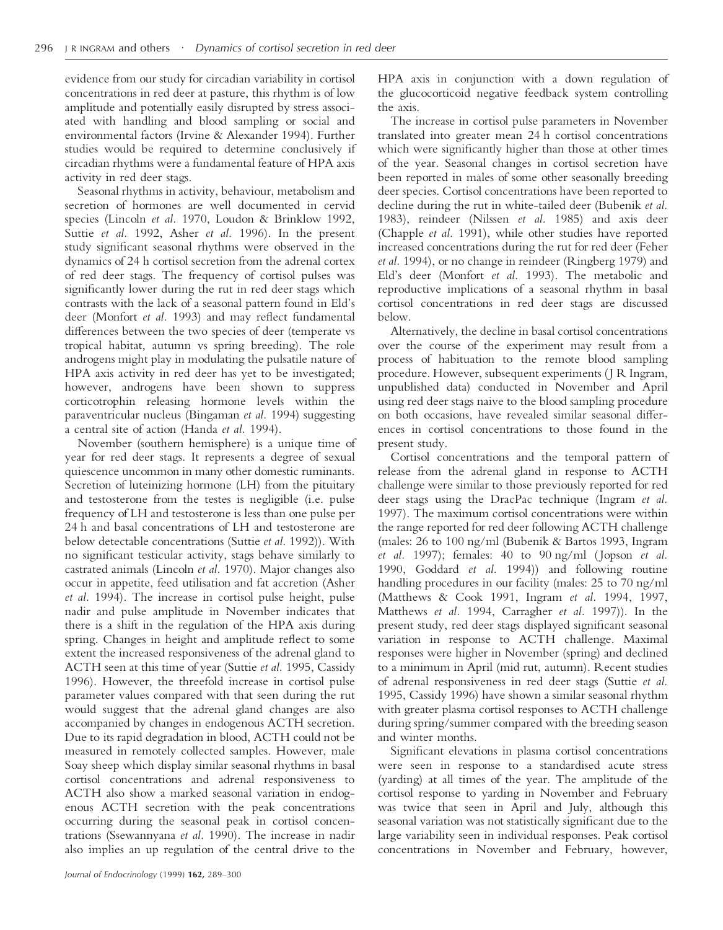evidence from our study for circadian variability in cortisol concentrations in red deer at pasture, this rhythm is of low amplitude and potentially easily disrupted by stress associated with handling and blood sampling or social and environmental factors (Irvine & Alexander 1994). Further studies would be required to determine conclusively if circadian rhythms were a fundamental feature of HPA axis activity in red deer stags.

Seasonal rhythms in activity, behaviour, metabolism and secretion of hormones are well documented in cervid species (Lincoln *et al.* 1970, Loudon & Brinklow 1992, Suttie *et al.* 1992, Asher *et al.* 1996). In the present study significant seasonal rhythms were observed in the dynamics of 24 h cortisol secretion from the adrenal cortex of red deer stags. The frequency of cortisol pulses was significantly lower during the rut in red deer stags which contrasts with the lack of a seasonal pattern found in Eld's deer (Monfort *et al.* 1993) and may reflect fundamental differences between the two species of deer (temperate vs tropical habitat, autumn vs spring breeding). The role androgens might play in modulating the pulsatile nature of HPA axis activity in red deer has yet to be investigated; however, androgens have been shown to suppress corticotrophin releasing hormone levels within the paraventricular nucleus (Bingaman *et al.* 1994) suggesting a central site of action (Handa *et al.* 1994).

November (southern hemisphere) is a unique time of year for red deer stags. It represents a degree of sexual quiescence uncommon in many other domestic ruminants. Secretion of luteinizing hormone (LH) from the pituitary and testosterone from the testes is negligible (i.e. pulse frequency of LH and testosterone is less than one pulse per 24 h and basal concentrations of LH and testosterone are below detectable concentrations (Suttie *et al.* 1992)). With no significant testicular activity, stags behave similarly to castrated animals (Lincoln *et al.* 1970). Major changes also occur in appetite, feed utilisation and fat accretion (Asher *et al.* 1994). The increase in cortisol pulse height, pulse nadir and pulse amplitude in November indicates that there is a shift in the regulation of the HPA axis during spring. Changes in height and amplitude reflect to some extent the increased responsiveness of the adrenal gland to ACTH seen at this time of year (Suttie *et al.* 1995, Cassidy 1996). However, the threefold increase in cortisol pulse parameter values compared with that seen during the rut would suggest that the adrenal gland changes are also accompanied by changes in endogenous ACTH secretion. Due to its rapid degradation in blood, ACTH could not be measured in remotely collected samples. However, male Soay sheep which display similar seasonal rhythms in basal cortisol concentrations and adrenal responsiveness to ACTH also show a marked seasonal variation in endogenous ACTH secretion with the peak concentrations occurring during the seasonal peak in cortisol concentrations (Ssewannyana *et al.* 1990). The increase in nadir also implies an up regulation of the central drive to the

HPA axis in conjunction with a down regulation of the glucocorticoid negative feedback system controlling the axis.

The increase in cortisol pulse parameters in November translated into greater mean 24 h cortisol concentrations which were significantly higher than those at other times of the year. Seasonal changes in cortisol secretion have been reported in males of some other seasonally breeding deer species. Cortisol concentrations have been reported to decline during the rut in white-tailed deer (Bubenik *et al.* 1983), reindeer (Nilssen *et al.* 1985) and axis deer (Chapple *et al.* 1991), while other studies have reported increased concentrations during the rut for red deer (Feher *et al.* 1994), or no change in reindeer (Ringberg 1979) and Eld's deer (Monfort *et al.* 1993). The metabolic and reproductive implications of a seasonal rhythm in basal cortisol concentrations in red deer stags are discussed below.

Alternatively, the decline in basal cortisol concentrations over the course of the experiment may result from a process of habituation to the remote blood sampling procedure. However, subsequent experiments (J R Ingram, unpublished data) conducted in November and April using red deer stags naive to the blood sampling procedure on both occasions, have revealed similar seasonal differences in cortisol concentrations to those found in the present study.

Cortisol concentrations and the temporal pattern of release from the adrenal gland in response to ACTH challenge were similar to those previously reported for red deer stags using the DracPac technique (Ingram *et al.* 1997). The maximum cortisol concentrations were within the range reported for red deer following ACTH challenge (males: 26 to 100 ng/ml (Bubenik & Bartos 1993, Ingram *et al.* 1997); females: 40 to 90 ng/ml ( Jopson *et al.* 1990, Goddard *et al.* 1994)) and following routine handling procedures in our facility (males: 25 to 70 ng/ml (Matthews & Cook 1991, Ingram *et al.* 1994, 1997, Matthews *et al.* 1994, Carragher *et al.* 1997)). In the present study, red deer stags displayed significant seasonal variation in response to ACTH challenge. Maximal responses were higher in November (spring) and declined to a minimum in April (mid rut, autumn). Recent studies of adrenal responsiveness in red deer stags (Suttie *et al.* 1995, Cassidy 1996) have shown a similar seasonal rhythm with greater plasma cortisol responses to ACTH challenge during spring/summer compared with the breeding season and winter months.

Significant elevations in plasma cortisol concentrations were seen in response to a standardised acute stress (yarding) at all times of the year. The amplitude of the cortisol response to yarding in November and February was twice that seen in April and July, although this seasonal variation was not statistically significant due to the large variability seen in individual responses. Peak cortisol concentrations in November and February, however,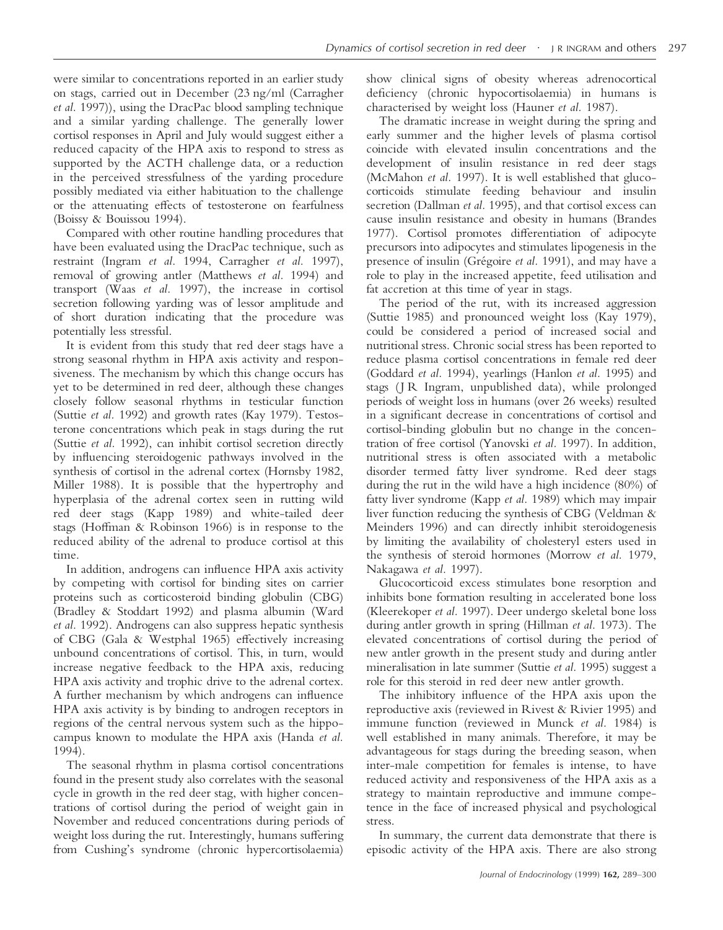were similar to concentrations reported in an earlier study on stags, carried out in December (23 ng/ml (Carragher *et al.* 1997)), using the DracPac blood sampling technique and a similar yarding challenge. The generally lower cortisol responses in April and July would suggest either a reduced capacity of the HPA axis to respond to stress as supported by the ACTH challenge data, or a reduction in the perceived stressfulness of the yarding procedure possibly mediated via either habituation to the challenge or the attenuating effects of testosterone on fearfulness (Boissy & Bouissou 1994).

Compared with other routine handling procedures that have been evaluated using the DracPac technique, such as restraint (Ingram *et al.* 1994, Carragher *et al.* 1997), removal of growing antler (Matthews *et al.* 1994) and transport (Waas *et al.* 1997), the increase in cortisol secretion following yarding was of lessor amplitude and of short duration indicating that the procedure was potentially less stressful.

It is evident from this study that red deer stags have a strong seasonal rhythm in HPA axis activity and responsiveness. The mechanism by which this change occurs has yet to be determined in red deer, although these changes closely follow seasonal rhythms in testicular function (Suttie *et al.* 1992) and growth rates (Kay 1979). Testosterone concentrations which peak in stags during the rut (Suttie *et al.* 1992), can inhibit cortisol secretion directly by influencing steroidogenic pathways involved in the synthesis of cortisol in the adrenal cortex (Hornsby 1982, Miller 1988). It is possible that the hypertrophy and hyperplasia of the adrenal cortex seen in rutting wild red deer stags (Kapp 1989) and white-tailed deer stags (Hoffman & Robinson 1966) is in response to the reduced ability of the adrenal to produce cortisol at this time.

In addition, androgens can influence HPA axis activity by competing with cortisol for binding sites on carrier proteins such as corticosteroid binding globulin (CBG) (Bradley & Stoddart 1992) and plasma albumin (Ward *et al.* 1992). Androgens can also suppress hepatic synthesis of CBG (Gala & Westphal 1965) effectively increasing unbound concentrations of cortisol. This, in turn, would increase negative feedback to the HPA axis, reducing HPA axis activity and trophic drive to the adrenal cortex. A further mechanism by which androgens can influence HPA axis activity is by binding to androgen receptors in regions of the central nervous system such as the hippocampus known to modulate the HPA axis (Handa *et al.* 1994).

The seasonal rhythm in plasma cortisol concentrations found in the present study also correlates with the seasonal cycle in growth in the red deer stag, with higher concentrations of cortisol during the period of weight gain in November and reduced concentrations during periods of weight loss during the rut. Interestingly, humans suffering from Cushing's syndrome (chronic hypercortisolaemia) show clinical signs of obesity whereas adrenocortical deficiency (chronic hypocortisolaemia) in humans is characterised by weight loss (Hauner *et al.* 1987).

The dramatic increase in weight during the spring and early summer and the higher levels of plasma cortisol coincide with elevated insulin concentrations and the development of insulin resistance in red deer stags (McMahon *et al.* 1997). It is well established that glucocorticoids stimulate feeding behaviour and insulin secretion (Dallman *et al.* 1995), and that cortisol excess can cause insulin resistance and obesity in humans (Brandes 1977). Cortisol promotes differentiation of adipocyte precursors into adipocytes and stimulates lipogenesis in the presence of insulin (Grégoire *et al.* 1991), and may have a role to play in the increased appetite, feed utilisation and fat accretion at this time of year in stags.

The period of the rut, with its increased aggression (Suttie 1985) and pronounced weight loss (Kay 1979), could be considered a period of increased social and nutritional stress. Chronic social stress has been reported to reduce plasma cortisol concentrations in female red deer (Goddard *et al.* 1994), yearlings (Hanlon *et al.* 1995) and stags (J R Ingram, unpublished data), while prolonged periods of weight loss in humans (over 26 weeks) resulted in a significant decrease in concentrations of cortisol and cortisol-binding globulin but no change in the concentration of free cortisol (Yanovski *et al.* 1997). In addition, nutritional stress is often associated with a metabolic disorder termed fatty liver syndrome. Red deer stags during the rut in the wild have a high incidence (80%) of fatty liver syndrome (Kapp *et al.* 1989) which may impair liver function reducing the synthesis of CBG (Veldman & Meinders 1996) and can directly inhibit steroidogenesis by limiting the availability of cholesteryl esters used in the synthesis of steroid hormones (Morrow *et al.* 1979, Nakagawa *et al.* 1997).

Glucocorticoid excess stimulates bone resorption and inhibits bone formation resulting in accelerated bone loss (Kleerekoper *et al.* 1997). Deer undergo skeletal bone loss during antler growth in spring (Hillman *et al.* 1973). The elevated concentrations of cortisol during the period of new antler growth in the present study and during antler mineralisation in late summer (Suttie *et al.* 1995) suggest a role for this steroid in red deer new antler growth.

The inhibitory influence of the HPA axis upon the reproductive axis (reviewed in Rivest & Rivier 1995) and immune function (reviewed in Munck *et al.* 1984) is well established in many animals. Therefore, it may be advantageous for stags during the breeding season, when inter-male competition for females is intense, to have reduced activity and responsiveness of the HPA axis as a strategy to maintain reproductive and immune competence in the face of increased physical and psychological stress.

In summary, the current data demonstrate that there is episodic activity of the HPA axis. There are also strong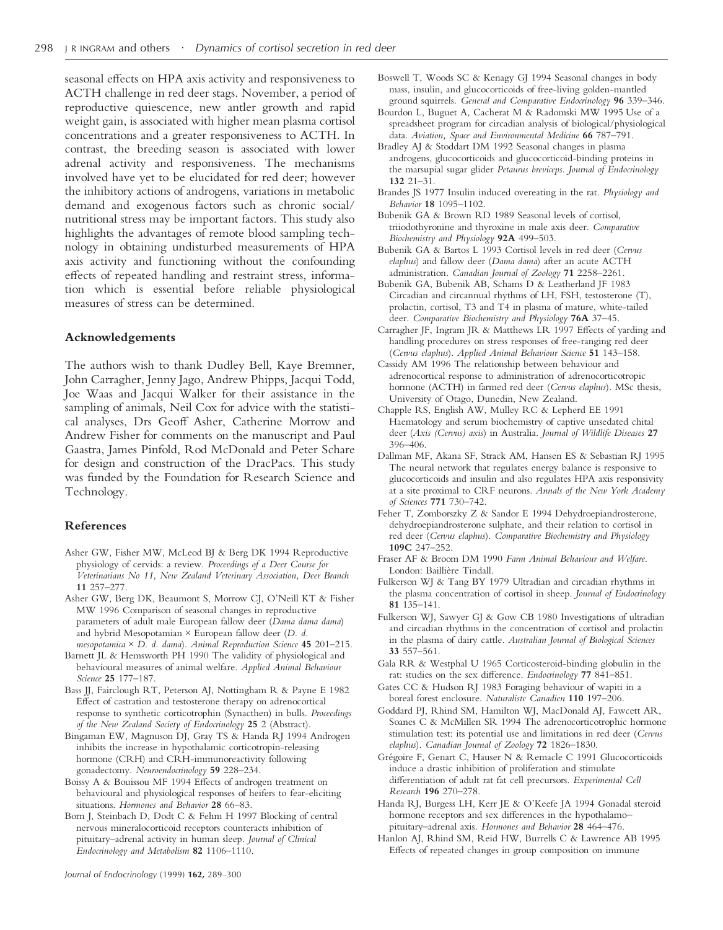seasonal effects on HPA axis activity and responsiveness to ACTH challenge in red deer stags. November, a period of reproductive quiescence, new antler growth and rapid weight gain, is associated with higher mean plasma cortisol concentrations and a greater responsiveness to ACTH. In contrast, the breeding season is associated with lower adrenal activity and responsiveness. The mechanisms involved have yet to be elucidated for red deer; however the inhibitory actions of androgens, variations in metabolic demand and exogenous factors such as chronic social/ nutritional stress may be important factors. This study also highlights the advantages of remote blood sampling technology in obtaining undisturbed measurements of HPA axis activity and functioning without the confounding effects of repeated handling and restraint stress, information which is essential before reliable physiological measures of stress can be determined.

#### **Acknowledgements**

The authors wish to thank Dudley Bell, Kaye Bremner, John Carragher, Jenny Jago, Andrew Phipps, Jacqui Todd, Joe Waas and Jacqui Walker for their assistance in the sampling of animals, Neil Cox for advice with the statistical analyses, Drs Geoff Asher, Catherine Morrow and Andrew Fisher for comments on the manuscript and Paul Gaastra, James Pinfold, Rod McDonald and Peter Schare for design and construction of the DracPacs. This study was funded by the Foundation for Research Science and Technology.

#### **References**

- Asher GW, Fisher MW, McLeod BJ & Berg DK 1994 Reproductive physiology of cervids: a review. *Proceedings of a Deer Course for Veterinarians No 11, New Zealand Veterinary Association, Deer Branch* **11** 257–277.
- Asher GW, Berg DK, Beaumont S, Morrow CJ, O'Neill KT & Fisher MW 1996 Comparison of seasonal changes in reproductive parameters of adult male European fallow deer (*Dama dama dama*) and hybrid Mesopotamian  $\times$  European fallow deer (*D. d.*
- *mesopotamica*#*D. d. dama*). *Animal Reproduction Science* **45** 201–215. Barnett JL & Hemsworth PH 1990 The validity of physiological and
- behavioural measures of animal welfare. *Applied Animal Behaviour Science* **25** 177–187. Bass JJ, Fairclough RT, Peterson AJ, Nottingham R & Payne E 1982
- Effect of castration and testosterone therapy on adrenocortical response to synthetic corticotrophin (Synacthen) in bulls. *Proceedings of the New Zealand Society of Endocrinology* **25** 2 (Abstract).
- Bingaman EW, Magnuson DJ, Gray TS & Handa RJ 1994 Androgen inhibits the increase in hypothalamic corticotropin-releasing hormone (CRH) and CRH-immunoreactivity following gonadectomy. *Neuroendocrinology* **59** 228–234.
- Boissy A & Bouissou MF 1994 Effects of androgen treatment on behavioural and physiological responses of heifers to fear-eliciting situations. *Hormones and Behavior* **28** 66–83.
- Born J, Steinbach D, Dodt C & Fehm H 1997 Blocking of central nervous mineralocorticoid receptors counteracts inhibition of pituitary–adrenal activity in human sleep. *Journal of Clinical Endocrinology and Metabolism* **82** 1106–1110.
- Boswell T, Woods SC & Kenagy GJ 1994 Seasonal changes in body mass, insulin, and glucocorticoids of free-living golden-mantled ground squirrels*. General and Comparative Endocrinology* **96** 339–346.
- Bourdon L, Buguet A, Cacherat M & Radomski MW 1995 Use of a spreadsheet program for circadian analysis of biological/physiological data. *Aviation, Space and Environmental Medicine* **66** 787–791.
- Bradley AJ & Stoddart DM 1992 Seasonal changes in plasma androgens, glucocorticoids and glucocorticoid-binding proteins in the marsupial sugar glider *Petaurus breviceps*. *Journal of Endocrinology* **132** 21–31.
- Brandes JS 1977 Insulin induced overeating in the rat. *Physiology and Behavior* **18** 1095–1102.
- Bubenik GA & Brown RD 1989 Seasonal levels of cortisol, triiodothyronine and thyroxine in male axis deer. *Comparative Biochemistry and Physiology* **92A** 499–503.
- Bubenik GA & Bartos L 1993 Cortisol levels in red deer (*Cervus elaphus*) and fallow deer (*Dama dama*) after an acute ACTH administration. *Canadian Journal of Zoology* **71** 2258–2261.
- Bubenik GA, Bubenik AB, Schams D & Leatherland JF 1983 Circadian and circannual rhythms of LH, FSH, testosterone (T), prolactin, cortisol, T3 and T4 in plasma of mature, white-tailed deer. *Comparative Biochemistry and Physiology* **76A** 37–45.
- Carragher JF, Ingram JR & Matthews LR 1997 Effects of yarding and handling procedures on stress responses of free-ranging red deer (*Cervus elaphus*). *Applied Animal Behaviour Science* **51** 143–158.
- Cassidy AM 1996 The relationship between behaviour and adrenocortical response to administration of adrenocorticotropic hormone (ACTH) in farmed red deer (*Cervus elaphus*). MSc thesis, University of Otago, Dunedin, New Zealand.
- Chapple RS, English AW, Mulley RC & Lepherd EE 1991 Haematology and serum biochemistry of captive unsedated chital deer (*Axis (Cervus) axis*) in Australia. *Journal of Wildlife Diseases* **27** 396–406.
- Dallman MF, Akana SF, Strack AM, Hansen ES & Sebastian RJ 1995 The neural network that regulates energy balance is responsive to glucocorticoids and insulin and also regulates HPA axis responsivity at a site proximal to CRF neurons. *Annals of the New York Academy of Sciences* **771** 730–742.
- Feher T, Zomborszky Z & Sandor E 1994 Dehydroepiandrosterone, dehydroepiandrosterone sulphate, and their relation to cortisol in red deer (*Cervus elaphus*). *Comparative Biochemistry and Physiology* **109C** 247–252.
- Fraser AF & Broom DM 1990 *Farm Animal Behaviour and Welfare*. London: Baillière Tindall.
- Fulkerson WJ & Tang BY 1979 Ultradian and circadian rhythms in the plasma concentration of cortisol in sheep. *Journal of Endocrinology* **81** 135–141.
- Fulkerson WJ, Sawyer GJ & Gow CB 1980 Investigations of ultradian and circadian rhythms in the concentration of cortisol and prolactin in the plasma of dairy cattle. *Australian Journal of Biological Sciences* **33** 557–561.
- Gala RR & Westphal U 1965 Corticosteroid-binding globulin in the rat: studies on the sex difference. *Endocrinology* **77** 841–851.
- Gates CC & Hudson RJ 1983 Foraging behaviour of wapiti in a boreal forest enclosure. *Naturaliste Canadien* **110** 197–206.
- Goddard PJ, Rhind SM, Hamilton WJ, MacDonald AJ, Fawcett AR, Soanes C & McMillen SR 1994 The adrenocorticotrophic hormone stimulation test: its potential use and limitations in red deer (*Cervus elaphus*). *Canadian Journal of Zoology* **72** 1826–1830.
- Grégoire F, Genart C, Hauser N & Remacle C 1991 Glucocorticoids induce a drastic inhibition of proliferation and stimulate differentiation of adult rat fat cell precursors. *Experimental Cell Research* **196** 270–278.
- Handa RJ, Burgess LH, Kerr JE & O'Keefe JA 1994 Gonadal steroid hormone receptors and sex differences in the hypothalamo– pituitary–adrenal axis*. Hormones and Behavior* **28** 464–476.
- Hanlon AJ, Rhind SM, Reid HW, Burrells C & Lawrence AB 1995 Effects of repeated changes in group composition on immune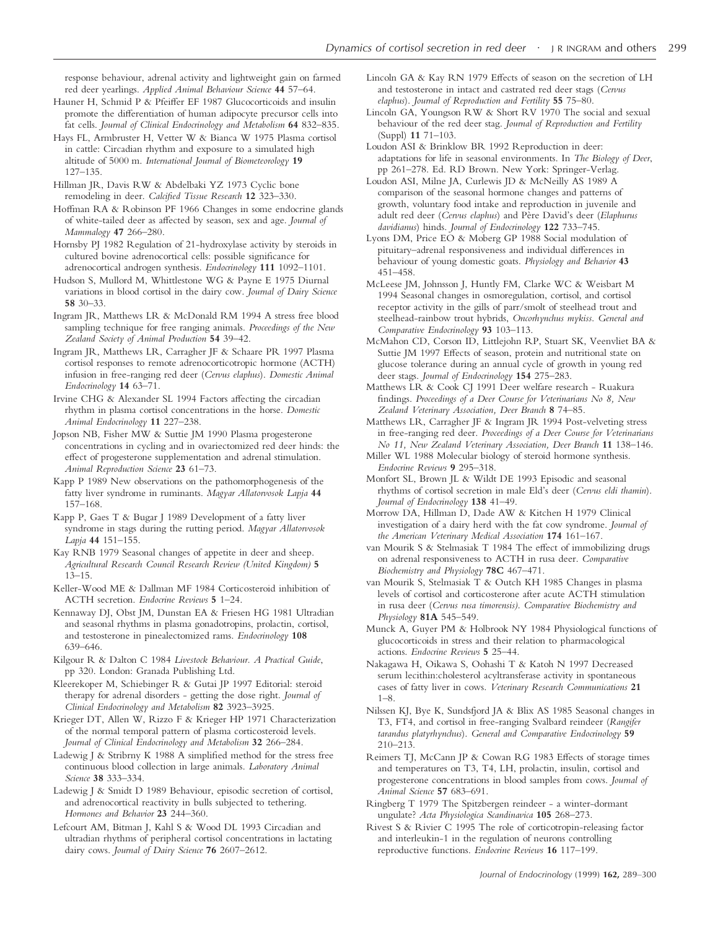response behaviour, adrenal activity and lightweight gain on farmed red deer yearlings. *Applied Animal Behaviour Science* **44** 57–64.

- Hauner H, Schmid P & Pfeiffer EF 1987 Glucocorticoids and insulin promote the differentiation of human adipocyte precursor cells into fat cells. *Journal of Clinical Endocrinology and Metabolism* **64** 832–835.
- Hays FL, Armbruster H, Vetter W & Bianca W 1975 Plasma cortisol in cattle: Circadian rhythm and exposure to a simulated high altitude of 5000 m. *International Journal of Biometeorology* **19** 127–135.
- Hillman JR, Davis RW & Abdelbaki YZ 1973 Cyclic bone remodeling in deer. *Calcified Tissue Research* **12** 323–330.
- Hoffman RA & Robinson PF 1966 Changes in some endocrine glands of white-tailed deer as affected by season, sex and age. *Journal of Mammalogy* **47** 266–280.
- Hornsby PJ 1982 Regulation of 21-hydroxylase activity by steroids in cultured bovine adrenocortical cells: possible significance for adrenocortical androgen synthesis. *Endocrinology* **111** 1092–1101.
- Hudson S, Mullord M, Whittlestone WG & Payne E 1975 Diurnal variations in blood cortisol in the dairy cow. *Journal of Dairy Science* **58** 30–33.
- Ingram JR, Matthews LR & McDonald RM 1994 A stress free blood sampling technique for free ranging animals. *Proceedings of the New Zealand Society of Animal Production* **54** 39–42.
- Ingram JR, Matthews LR, Carragher JF & Schaare PR 1997 Plasma cortisol responses to remote adrenocorticotropic hormone (ACTH) infusion in free-ranging red deer (*Cervus elaphus*). *Domestic Animal Endocrinology* **14** 63–71.
- Irvine CHG & Alexander SL 1994 Factors affecting the circadian rhythm in plasma cortisol concentrations in the horse. *Domestic Animal Endocrinology* **11** 227–238.
- Jopson NB, Fisher MW & Suttie JM 1990 Plasma progesterone concentrations in cycling and in ovariectomized red deer hinds: the effect of progesterone supplementation and adrenal stimulation. *Animal Reproduction Science* **23** 61–73.
- Kapp P 1989 New observations on the pathomorphogenesis of the fatty liver syndrome in ruminants. *Magyar Allatorvosok Lapja* **44** 157–168.
- Kapp P, Gaes T & Bugar J 1989 Development of a fatty liver syndrome in stags during the rutting period. *Magyar Allatorvosok Lapja* **44** 151–155.
- Kay RNB 1979 Seasonal changes of appetite in deer and sheep. *Agricultural Research Council Research Review (United Kingdom)* **5** 13–15.
- Keller-Wood ME & Dallman MF 1984 Corticosteroid inhibition of ACTH secretion. *Endocrine Reviews* **5** 1–24.
- Kennaway DJ, Obst JM, Dunstan EA & Friesen HG 1981 Ultradian and seasonal rhythms in plasma gonadotropins, prolactin, cortisol, and testosterone in pinealectomized rams. *Endocrinology* **108** 639–646.
- Kilgour R & Dalton C 1984 *Livestock Behaviour. A Practical Guide*, pp 320. London: Granada Publishing Ltd.
- Kleerekoper M, Schiebinger R & Gutai JP 1997 Editorial: steroid therapy for adrenal disorders - getting the dose right. *Journal of Clinical Endocrinology and Metabolism* **82** 3923–3925.
- Krieger DT, Allen W, Rizzo F & Krieger HP 1971 Characterization of the normal temporal pattern of plasma corticosteroid levels. *Journal of Clinical Endocrinology and Metabolism* **32** 266–284.
- Ladewig J & Stribrny K 1988 A simplified method for the stress free continuous blood collection in large animals. *Laboratory Animal Science* **38** 333–334.
- Ladewig J & Smidt D 1989 Behaviour, episodic secretion of cortisol, and adrenocortical reactivity in bulls subjected to tethering. *Hormones and Behavior* **23** 244–360.
- Lefcourt AM, Bitman J, Kahl S & Wood DL 1993 Circadian and ultradian rhythms of peripheral cortisol concentrations in lactating dairy cows. *Journal of Dairy Science* **76** 2607–2612.
- Lincoln GA & Kay RN 1979 Effects of season on the secretion of LH and testosterone in intact and castrated red deer stags (*Cervus elaphus*). *Journal of Reproduction and Fertility* **55** 75–80.
- Lincoln GA, Youngson RW & Short RV 1970 The social and sexual behaviour of the red deer stag. *Journal of Reproduction and Fertility* (Suppl) **11** 71–103.
- Loudon ASI & Brinklow BR 1992 Reproduction in deer: adaptations for life in seasonal environments. In *The Biology of Deer*, pp 261–278. Ed. RD Brown. New York: Springer-Verlag.
- Loudon ASI, Milne JA, Curlewis JD & McNeilly AS 1989 A comparison of the seasonal hormone changes and patterns of growth, voluntary food intake and reproduction in juvenile and adult red deer (*Cervus elaphus*) and Père David's deer (*Elaphurus davidianus*) hinds. *Journal of Endocrinology* **122** 733–745.
- Lyons DM, Price EO & Moberg GP 1988 Social modulation of pituitary–adrenal responsiveness and individual differences in behaviour of young domestic goats. *Physiology and Behavior* **43** 451–458.
- McLeese JM, Johnsson J, Huntly FM, Clarke WC & Weisbart M 1994 Seasonal changes in osmoregulation, cortisol, and cortisol receptor activity in the gills of parr/smolt of steelhead trout and steelhead-rainbow trout hybrids, *Oncorhynchus mykiss*. *General and Comparative Endocrinology* **93** 103–113.
- McMahon CD, Corson ID, Littlejohn RP, Stuart SK, Veenvliet BA & Suttie JM 1997 Effects of season, protein and nutritional state on glucose tolerance during an annual cycle of growth in young red deer stags. *Journal of Endocrinology* **154** 275–283.
- Matthews LR & Cook CJ 1991 Deer welfare research Ruakura findings. *Proceedings of a Deer Course for Veterinarians No 8, New Zealand Veterinary Association, Deer Branch* **8** 74–85.
- Matthews LR, Carragher JF & Ingram JR 1994 Post-velveting stress in free-ranging red deer. *Proceedings of a Deer Course for Veterinarians No 11, New Zealand Veterinary Association, Deer Branch* **11** 138–146.
- Miller WL 1988 Molecular biology of steroid hormone synthesis. *Endocrine Reviews* **9** 295–318.
- Monfort SL, Brown JL & Wildt DE 1993 Episodic and seasonal rhythms of cortisol secretion in male Eld's deer (*Cervus eldi thamin*). *Journal of Endocrinology* **138** 41–49.
- Morrow DA, Hillman D, Dade AW & Kitchen H 1979 Clinical investigation of a dairy herd with the fat cow syndrome. *Journal of the American Veterinary Medical Association* **174** 161–167.
- van Mourik S & Stelmasiak T 1984 The effect of immobilizing drugs on adrenal responsiveness to ACTH in rusa deer. *Comparative Biochemistry and Physiology* **78C** 467–471.
- van Mourik S, Stelmasiak T & Outch KH 1985 Changes in plasma levels of cortisol and corticosterone after acute ACTH stimulation in rusa deer (*Cervus rusa timorensis)*. *Comparative Biochemistry and Physiology* **81A** 545–549.
- Munck A, Guyer PM & Holbrook NY 1984 Physiological functions of glucocorticoids in stress and their relation to pharmacological actions. *Endocrine Reviews* **5** 25–44.
- Nakagawa H, Oikawa S, Oohashi T & Katoh N 1997 Decreased serum lecithin:cholesterol acyltransferase activity in spontaneous cases of fatty liver in cows. *Veterinary Research Communications* **21** 1–8.
- Nilssen KJ, Bye K, Sundsfjord JA & Blix AS 1985 Seasonal changes in T3, FT4, and cortisol in free-ranging Svalbard reindeer (*Rangifer tarandus platyrhynchus*). *General and Comparative Endocrinology* **59** 210–213.
- Reimers TJ, McCann JP & Cowan RG 1983 Effects of storage times and temperatures on T3, T4, LH, prolactin, insulin, cortisol and progesterone concentrations in blood samples from cows. *Journal of Animal Science* **57** 683–691.
- Ringberg T 1979 The Spitzbergen reindeer-awinter-dormant ungulate? *Acta Physiologica Scandinavica* **105** 268–273.
- Rivest S & Rivier C 1995 The role of corticotropin-releasing factor and interleukin-1 in the regulation of neurons controlling reproductive functions. *Endocrine Reviews* **16** 117–199.